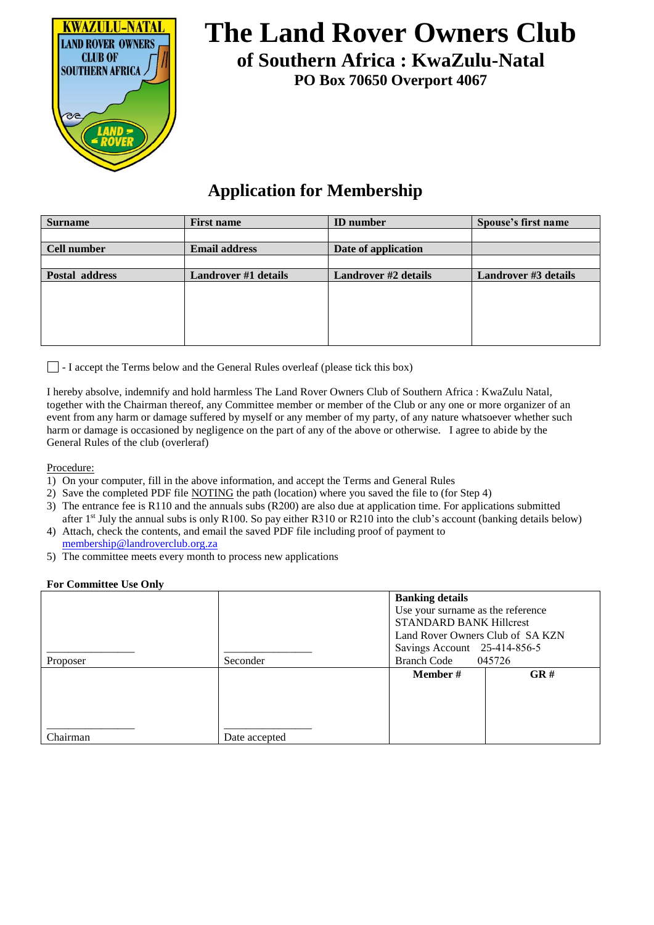

# **The Land Rover Owners Club of Southern Africa : KwaZulu-Natal**

**PO Box 70650 Overport 4067** 

### **Application for Membership**

| <b>Surname</b>     | <b>First name</b>    | <b>ID</b> number            | Spouse's first name         |
|--------------------|----------------------|-----------------------------|-----------------------------|
|                    |                      |                             |                             |
| <b>Cell number</b> | <b>Email address</b> | Date of application         |                             |
|                    |                      |                             |                             |
| Postal address     | Landrover #1 details | <b>Landrover #2 details</b> | <b>Landrover #3 details</b> |
|                    |                      |                             |                             |
|                    |                      |                             |                             |
|                    |                      |                             |                             |
|                    |                      |                             |                             |
|                    |                      |                             |                             |

 $\Box$  - I accept the Terms below and the General Rules overleaf (please tick this box)

I hereby absolve, indemnify and hold harmless The Land Rover Owners Club of Southern Africa : KwaZulu Natal, together with the Chairman thereof, any Committee member or member of the Club or any one or more organizer of an event from any harm or damage suffered by myself or any member of my party, of any nature whatsoever whether such harm or damage is occasioned by negligence on the part of any of the above or otherwise. I agree to abide by the General Rules of the club (overleraf)

Procedure:

- 1) On your computer, fill in the above information, and accept the Terms and General Rules
- 2) Save the completed PDF file NOTING the path (location) where you saved the file to (for Step 4)
- 3) The entrance fee is R110 and the annuals subs (R200) are also due at application time. For applications submitted after 1<sup>st</sup> July the annual subs is only R100. So pay either R310 or R210 into the club's account (banking details below)
- 4) Attach, check the contents, and email the saved PDF file including proof of payment to [membership@landroverclub.o](mailto:membership@landroverclub.za.org)rg.za
- 5) The committee meets every month to process new applications

#### **For Committee Use Only**

|          |               | <b>Banking details</b>            |     |
|----------|---------------|-----------------------------------|-----|
|          |               | Use your surname as the reference |     |
|          |               | <b>STANDARD BANK Hillcrest</b>    |     |
|          |               | Land Rover Owners Club of SA KZN  |     |
|          |               | Savings Account 25-414-856-5      |     |
| Proposer | Seconder      | 045726<br><b>Branch Code</b>      |     |
|          |               | <b>Member</b> #                   | GR# |
|          |               |                                   |     |
|          |               |                                   |     |
|          |               |                                   |     |
|          |               |                                   |     |
| Chairman | Date accepted |                                   |     |